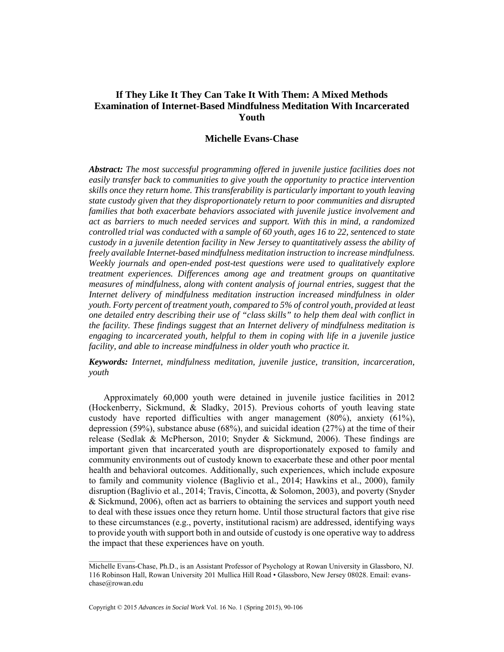# **If They Like It They Can Take It With Them: A Mixed Methods Examination of Internet-Based Mindfulness Meditation With Incarcerated Youth**

### **Michelle Evans-Chase**

*Abstract: The most successful programming offered in juvenile justice facilities does not easily transfer back to communities to give youth the opportunity to practice intervention skills once they return home. This transferability is particularly important to youth leaving state custody given that they disproportionately return to poor communities and disrupted families that both exacerbate behaviors associated with juvenile justice involvement and act as barriers to much needed services and support. With this in mind, a randomized controlled trial was conducted with a sample of 60 youth, ages 16 to 22, sentenced to state custody in a juvenile detention facility in New Jersey to quantitatively assess the ability of freely available Internet-based mindfulness meditation instruction to increase mindfulness. Weekly journals and open-ended post-test questions were used to qualitatively explore treatment experiences. Differences among age and treatment groups on quantitative measures of mindfulness, along with content analysis of journal entries, suggest that the Internet delivery of mindfulness meditation instruction increased mindfulness in older youth. Forty percent of treatment youth, compared to 5% of control youth, provided at least one detailed entry describing their use of "class skills" to help them deal with conflict in the facility. These findings suggest that an Internet delivery of mindfulness meditation is engaging to incarcerated youth, helpful to them in coping with life in a juvenile justice facility, and able to increase mindfulness in older youth who practice it.* 

*Keywords: Internet, mindfulness meditation, juvenile justice, transition, incarceration, youth* 

Approximately 60,000 youth were detained in juvenile justice facilities in 2012 (Hockenberry, Sickmund, & Sladky, 2015). Previous cohorts of youth leaving state custody have reported difficulties with anger management (80%), anxiety (61%), depression (59%), substance abuse (68%), and suicidal ideation (27%) at the time of their release (Sedlak & McPherson, 2010; Snyder & Sickmund, 2006). These findings are important given that incarcerated youth are disproportionately exposed to family and community environments out of custody known to exacerbate these and other poor mental health and behavioral outcomes. Additionally, such experiences, which include exposure to family and community violence (Baglivio et al., 2014; Hawkins et al., 2000), family disruption (Baglivio et al., 2014; Travis, Cincotta, & Solomon, 2003), and poverty (Snyder & Sickmund, 2006), often act as barriers to obtaining the services and support youth need to deal with these issues once they return home. Until those structural factors that give rise to these circumstances (e.g., poverty, institutional racism) are addressed, identifying ways to provide youth with support both in and outside of custody is one operative way to address the impact that these experiences have on youth.

 $\mathcal{L}_\text{max}$ 

Michelle Evans-Chase, Ph.D., is an Assistant Professor of Psychology at Rowan University in Glassboro, NJ. 116 Robinson Hall, Rowan University 201 Mullica Hill Road • Glassboro, New Jersey 08028. Email: evanschase@rowan.edu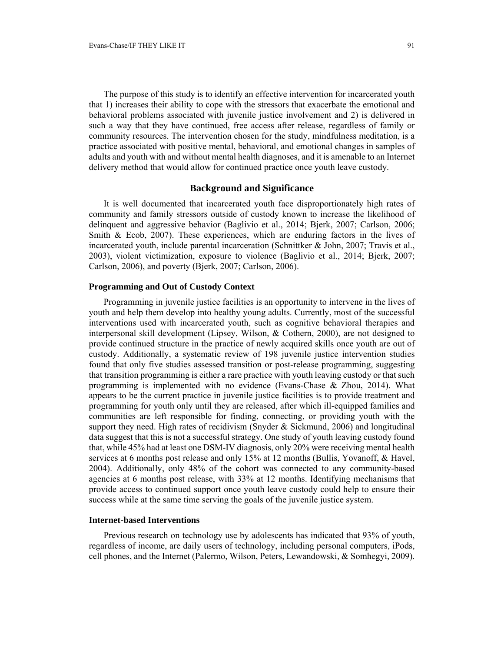The purpose of this study is to identify an effective intervention for incarcerated youth that 1) increases their ability to cope with the stressors that exacerbate the emotional and behavioral problems associated with juvenile justice involvement and 2) is delivered in such a way that they have continued, free access after release, regardless of family or community resources. The intervention chosen for the study, mindfulness meditation, is a practice associated with positive mental, behavioral, and emotional changes in samples of adults and youth with and without mental health diagnoses, and it is amenable to an Internet delivery method that would allow for continued practice once youth leave custody.

## **Background and Significance**

It is well documented that incarcerated youth face disproportionately high rates of community and family stressors outside of custody known to increase the likelihood of delinquent and aggressive behavior (Baglivio et al., 2014; Bjerk, 2007; Carlson, 2006; Smith & Ecob, 2007). These experiences, which are enduring factors in the lives of incarcerated youth, include parental incarceration (Schnittker & John, 2007; Travis et al., 2003), violent victimization, exposure to violence (Baglivio et al., 2014; Bjerk, 2007; Carlson, 2006), and poverty (Bjerk, 2007; Carlson, 2006).

### **Programming and Out of Custody Context**

Programming in juvenile justice facilities is an opportunity to intervene in the lives of youth and help them develop into healthy young adults. Currently, most of the successful interventions used with incarcerated youth, such as cognitive behavioral therapies and interpersonal skill development (Lipsey, Wilson, & Cothern, 2000), are not designed to provide continued structure in the practice of newly acquired skills once youth are out of custody. Additionally, a systematic review of 198 juvenile justice intervention studies found that only five studies assessed transition or post-release programming, suggesting that transition programming is either a rare practice with youth leaving custody or that such programming is implemented with no evidence (Evans-Chase & Zhou, 2014). What appears to be the current practice in juvenile justice facilities is to provide treatment and programming for youth only until they are released, after which ill-equipped families and communities are left responsible for finding, connecting, or providing youth with the support they need. High rates of recidivism (Snyder  $&$  Sickmund, 2006) and longitudinal data suggest that this is not a successful strategy. One study of youth leaving custody found that, while 45% had at least one DSM-IV diagnosis, only 20% were receiving mental health services at 6 months post release and only 15% at 12 months (Bullis, Yovanoff, & Havel, 2004). Additionally, only 48% of the cohort was connected to any community-based agencies at 6 months post release, with 33% at 12 months. Identifying mechanisms that provide access to continued support once youth leave custody could help to ensure their success while at the same time serving the goals of the juvenile justice system.

### **Internet-based Interventions**

Previous research on technology use by adolescents has indicated that 93% of youth, regardless of income, are daily users of technology, including personal computers, iPods, cell phones, and the Internet (Palermo, Wilson, Peters, Lewandowski, & Somhegyi, 2009).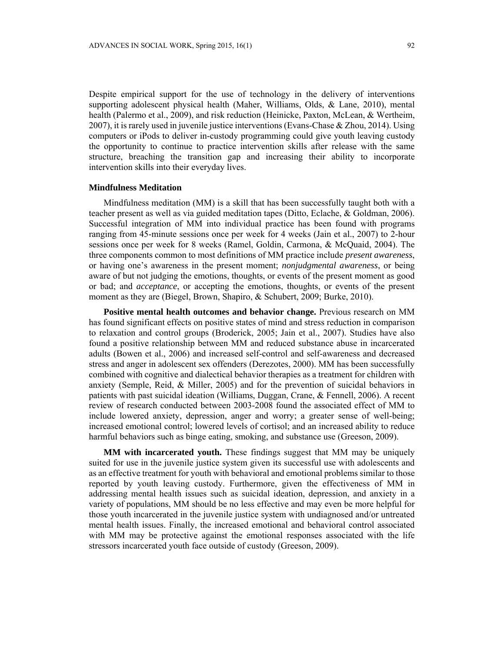Despite empirical support for the use of technology in the delivery of interventions supporting adolescent physical health (Maher, Williams, Olds, & Lane, 2010), mental health (Palermo et al., 2009), and risk reduction (Heinicke, Paxton, McLean, & Wertheim, 2007), it is rarely used in juvenile justice interventions (Evans-Chase  $\&$  Zhou, 2014). Using computers or iPods to deliver in-custody programming could give youth leaving custody the opportunity to continue to practice intervention skills after release with the same structure, breaching the transition gap and increasing their ability to incorporate intervention skills into their everyday lives.

#### **Mindfulness Meditation**

Mindfulness meditation (MM) is a skill that has been successfully taught both with a teacher present as well as via guided meditation tapes (Ditto, Eclache, & Goldman, 2006). Successful integration of MM into individual practice has been found with programs ranging from 45-minute sessions once per week for 4 weeks (Jain et al., 2007) to 2-hour sessions once per week for 8 weeks (Ramel, Goldin, Carmona, & McQuaid, 2004). The three components common to most definitions of MM practice include *present awareness*, or having one's awareness in the present moment; *nonjudgmental awareness*, or being aware of but not judging the emotions, thoughts, or events of the present moment as good or bad; and *acceptance*, or accepting the emotions, thoughts, or events of the present moment as they are (Biegel, Brown, Shapiro, & Schubert, 2009; Burke, 2010).

**Positive mental health outcomes and behavior change.** Previous research on MM has found significant effects on positive states of mind and stress reduction in comparison to relaxation and control groups (Broderick, 2005; Jain et al., 2007). Studies have also found a positive relationship between MM and reduced substance abuse in incarcerated adults (Bowen et al., 2006) and increased self-control and self-awareness and decreased stress and anger in adolescent sex offenders (Derezotes, 2000). MM has been successfully combined with cognitive and dialectical behavior therapies as a treatment for children with anxiety (Semple, Reid, & Miller, 2005) and for the prevention of suicidal behaviors in patients with past suicidal ideation (Williams, Duggan, Crane, & Fennell, 2006). A recent review of research conducted between 2003-2008 found the associated effect of MM to include lowered anxiety, depression, anger and worry; a greater sense of well-being; increased emotional control; lowered levels of cortisol; and an increased ability to reduce harmful behaviors such as binge eating, smoking, and substance use (Greeson, 2009).

 **MM with incarcerated youth.** These findings suggest that MM may be uniquely suited for use in the juvenile justice system given its successful use with adolescents and as an effective treatment for youth with behavioral and emotional problems similar to those reported by youth leaving custody. Furthermore, given the effectiveness of MM in addressing mental health issues such as suicidal ideation, depression, and anxiety in a variety of populations, MM should be no less effective and may even be more helpful for those youth incarcerated in the juvenile justice system with undiagnosed and/or untreated mental health issues. Finally, the increased emotional and behavioral control associated with MM may be protective against the emotional responses associated with the life stressors incarcerated youth face outside of custody (Greeson, 2009).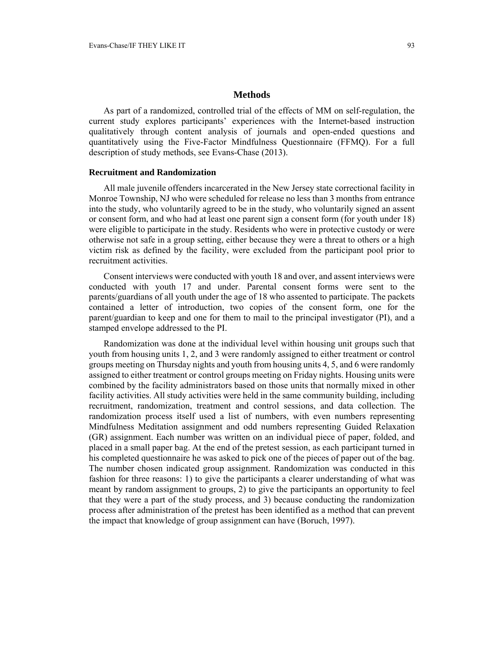As part of a randomized, controlled trial of the effects of MM on self-regulation, the current study explores participants' experiences with the Internet-based instruction qualitatively through content analysis of journals and open-ended questions and quantitatively using the Five-Factor Mindfulness Questionnaire (FFMQ). For a full description of study methods, see Evans-Chase (2013).

### **Recruitment and Randomization**

All male juvenile offenders incarcerated in the New Jersey state correctional facility in Monroe Township, NJ who were scheduled for release no less than 3 months from entrance into the study, who voluntarily agreed to be in the study, who voluntarily signed an assent or consent form, and who had at least one parent sign a consent form (for youth under 18) were eligible to participate in the study. Residents who were in protective custody or were otherwise not safe in a group setting, either because they were a threat to others or a high victim risk as defined by the facility, were excluded from the participant pool prior to recruitment activities.

Consent interviews were conducted with youth 18 and over, and assent interviews were conducted with youth 17 and under. Parental consent forms were sent to the parents/guardians of all youth under the age of 18 who assented to participate. The packets contained a letter of introduction, two copies of the consent form, one for the parent/guardian to keep and one for them to mail to the principal investigator (PI), and a stamped envelope addressed to the PI.

Randomization was done at the individual level within housing unit groups such that youth from housing units 1, 2, and 3 were randomly assigned to either treatment or control groups meeting on Thursday nights and youth from housing units 4, 5, and 6 were randomly assigned to either treatment or control groups meeting on Friday nights. Housing units were combined by the facility administrators based on those units that normally mixed in other facility activities. All study activities were held in the same community building, including recruitment, randomization, treatment and control sessions, and data collection. The randomization process itself used a list of numbers, with even numbers representing Mindfulness Meditation assignment and odd numbers representing Guided Relaxation (GR) assignment. Each number was written on an individual piece of paper, folded, and placed in a small paper bag. At the end of the pretest session, as each participant turned in his completed questionnaire he was asked to pick one of the pieces of paper out of the bag. The number chosen indicated group assignment. Randomization was conducted in this fashion for three reasons: 1) to give the participants a clearer understanding of what was meant by random assignment to groups, 2) to give the participants an opportunity to feel that they were a part of the study process, and 3) because conducting the randomization process after administration of the pretest has been identified as a method that can prevent the impact that knowledge of group assignment can have (Boruch, 1997).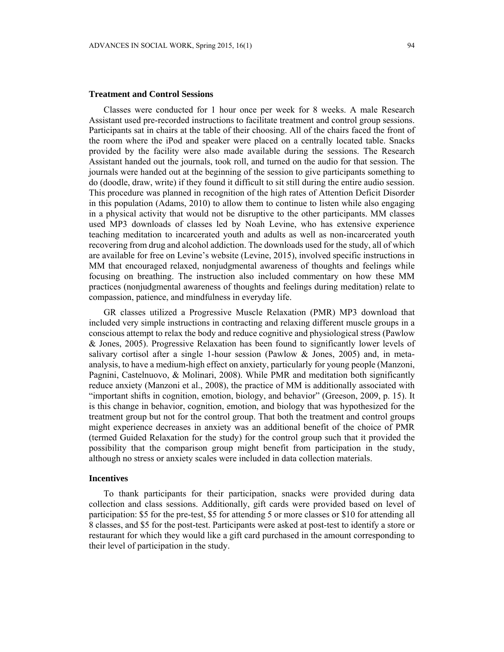#### **Treatment and Control Sessions**

Classes were conducted for 1 hour once per week for 8 weeks. A male Research Assistant used pre-recorded instructions to facilitate treatment and control group sessions. Participants sat in chairs at the table of their choosing. All of the chairs faced the front of the room where the iPod and speaker were placed on a centrally located table. Snacks provided by the facility were also made available during the sessions. The Research Assistant handed out the journals, took roll, and turned on the audio for that session. The journals were handed out at the beginning of the session to give participants something to do (doodle, draw, write) if they found it difficult to sit still during the entire audio session. This procedure was planned in recognition of the high rates of Attention Deficit Disorder in this population (Adams, 2010) to allow them to continue to listen while also engaging in a physical activity that would not be disruptive to the other participants. MM classes used MP3 downloads of classes led by Noah Levine, who has extensive experience teaching meditation to incarcerated youth and adults as well as non-incarcerated youth recovering from drug and alcohol addiction. The downloads used for the study, all of which are available for free on Levine's website (Levine, 2015), involved specific instructions in MM that encouraged relaxed, nonjudgmental awareness of thoughts and feelings while focusing on breathing. The instruction also included commentary on how these MM practices (nonjudgmental awareness of thoughts and feelings during meditation) relate to compassion, patience, and mindfulness in everyday life.

GR classes utilized a Progressive Muscle Relaxation (PMR) MP3 download that included very simple instructions in contracting and relaxing different muscle groups in a conscious attempt to relax the body and reduce cognitive and physiological stress (Pawlow & Jones, 2005). Progressive Relaxation has been found to significantly lower levels of salivary cortisol after a single 1-hour session (Pawlow & Jones, 2005) and, in metaanalysis, to have a medium-high effect on anxiety, particularly for young people (Manzoni, Pagnini, Castelnuovo, & Molinari, 2008). While PMR and meditation both significantly reduce anxiety (Manzoni et al., 2008), the practice of MM is additionally associated with "important shifts in cognition, emotion, biology, and behavior" (Greeson, 2009, p. 15). It is this change in behavior, cognition, emotion, and biology that was hypothesized for the treatment group but not for the control group. That both the treatment and control groups might experience decreases in anxiety was an additional benefit of the choice of PMR (termed Guided Relaxation for the study) for the control group such that it provided the possibility that the comparison group might benefit from participation in the study, although no stress or anxiety scales were included in data collection materials.

### **Incentives**

To thank participants for their participation, snacks were provided during data collection and class sessions. Additionally, gift cards were provided based on level of participation: \$5 for the pre-test, \$5 for attending 5 or more classes or \$10 for attending all 8 classes, and \$5 for the post-test. Participants were asked at post-test to identify a store or restaurant for which they would like a gift card purchased in the amount corresponding to their level of participation in the study.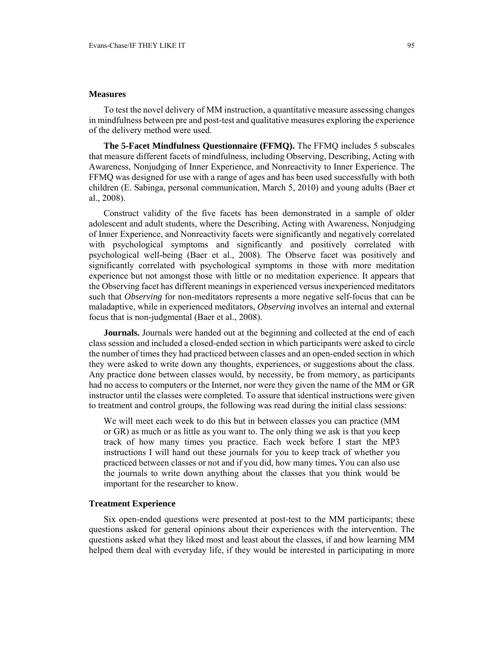### **Measures**

To test the novel delivery of MM instruction, a quantitative measure assessing changes in mindfulness between pre and post-test and qualitative measures exploring the experience of the delivery method were used.

**The 5-Facet Mindfulness Questionnaire (FFMQ).** The FFMQ includes 5 subscales that measure different facets of mindfulness, including Observing, Describing, Acting with Awareness, Nonjudging of Inner Experience, and Nonreactivity to Inner Experience. The FFMQ was designed for use with a range of ages and has been used successfully with both children (E. Sabinga, personal communication, March 5, 2010) and young adults (Baer et al., 2008).

Construct validity of the five facets has been demonstrated in a sample of older adolescent and adult students, where the Describing, Acting with Awareness, Nonjudging of Inner Experience, and Nonreactivity facets were significantly and negatively correlated with psychological symptoms and significantly and positively correlated with psychological well-being (Baer et al., 2008). The Observe facet was positively and significantly correlated with psychological symptoms in those with more meditation experience but not amongst those with little or no meditation experience. It appears that the Observing facet has different meanings in experienced versus inexperienced meditators such that *Observing* for non-meditators represents a more negative self-focus that can be maladaptive, while in experienced meditators, *Observing* involves an internal and external focus that is non-judgmental (Baer et al., 2008).

**Journals.** Journals were handed out at the beginning and collected at the end of each class session and included a closed-ended section in which participants were asked to circle the number of times they had practiced between classes and an open-ended section in which they were asked to write down any thoughts, experiences, or suggestions about the class. Any practice done between classes would, by necessity, be from memory, as participants had no access to computers or the Internet, nor were they given the name of the MM or GR instructor until the classes were completed. To assure that identical instructions were given to treatment and control groups, the following was read during the initial class sessions:

We will meet each week to do this but in between classes you can practice (MM or GR) as much or as little as you want to. The only thing we ask is that you keep track of how many times you practice. Each week before I start the MP3 instructions I will hand out these journals for you to keep track of whether you practiced between classes or not and if you did, how many times**.** You can also use the journals to write down anything about the classes that you think would be important for the researcher to know.

### **Treatment Experience**

Six open-ended questions were presented at post-test to the MM participants; these questions asked for general opinions about their experiences with the intervention. The questions asked what they liked most and least about the classes, if and how learning MM helped them deal with everyday life, if they would be interested in participating in more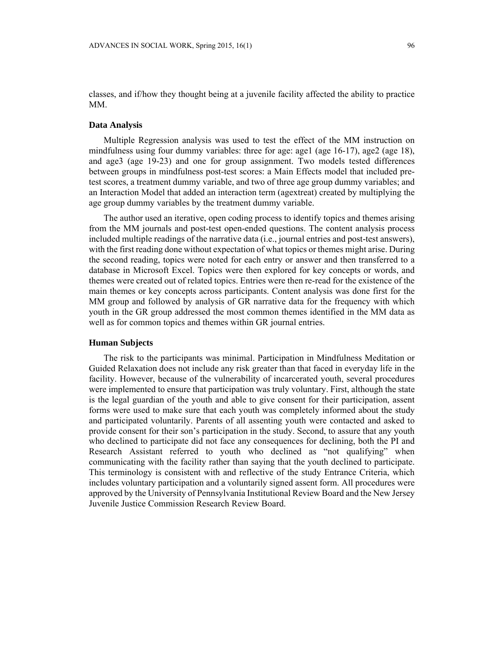classes, and if/how they thought being at a juvenile facility affected the ability to practice MM.

### **Data Analysis**

Multiple Regression analysis was used to test the effect of the MM instruction on mindfulness using four dummy variables: three for age: age1 (age 16-17), age2 (age 18), and age3 (age 19-23) and one for group assignment. Two models tested differences between groups in mindfulness post-test scores: a Main Effects model that included pretest scores, a treatment dummy variable, and two of three age group dummy variables; and an Interaction Model that added an interaction term (agextreat) created by multiplying the age group dummy variables by the treatment dummy variable.

The author used an iterative, open coding process to identify topics and themes arising from the MM journals and post-test open-ended questions. The content analysis process included multiple readings of the narrative data (i.e., journal entries and post-test answers), with the first reading done without expectation of what topics or themes might arise. During the second reading, topics were noted for each entry or answer and then transferred to a database in Microsoft Excel. Topics were then explored for key concepts or words, and themes were created out of related topics. Entries were then re-read for the existence of the main themes or key concepts across participants. Content analysis was done first for the MM group and followed by analysis of GR narrative data for the frequency with which youth in the GR group addressed the most common themes identified in the MM data as well as for common topics and themes within GR journal entries.

#### **Human Subjects**

The risk to the participants was minimal. Participation in Mindfulness Meditation or Guided Relaxation does not include any risk greater than that faced in everyday life in the facility. However, because of the vulnerability of incarcerated youth, several procedures were implemented to ensure that participation was truly voluntary. First, although the state is the legal guardian of the youth and able to give consent for their participation, assent forms were used to make sure that each youth was completely informed about the study and participated voluntarily. Parents of all assenting youth were contacted and asked to provide consent for their son's participation in the study. Second, to assure that any youth who declined to participate did not face any consequences for declining, both the PI and Research Assistant referred to youth who declined as "not qualifying" when communicating with the facility rather than saying that the youth declined to participate. This terminology is consistent with and reflective of the study Entrance Criteria, which includes voluntary participation and a voluntarily signed assent form. All procedures were approved by the University of Pennsylvania Institutional Review Board and the New Jersey Juvenile Justice Commission Research Review Board.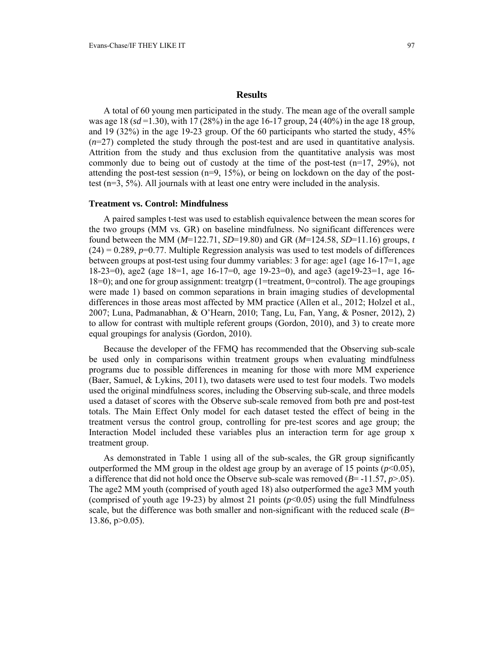### **Results**

A total of 60 young men participated in the study. The mean age of the overall sample was age 18 (*sd* =1.30), with 17 (28%) in the age 16-17 group, 24 (40%) in the age 18 group, and 19 (32%) in the age 19-23 group. Of the 60 participants who started the study, 45%  $(n=27)$  completed the study through the post-test and are used in quantitative analysis. Attrition from the study and thus exclusion from the quantitative analysis was most commonly due to being out of custody at the time of the post-test  $(n=17, 29\%)$ , not attending the post-test session  $(n=9, 15%)$ , or being on lockdown on the day of the posttest (n=3, 5%). All journals with at least one entry were included in the analysis.

### **Treatment vs. Control: Mindfulness**

A paired samples t-test was used to establish equivalence between the mean scores for the two groups (MM vs. GR) on baseline mindfulness. No significant differences were found between the MM (*M*=122.71, *SD*=19.80) and GR (*M*=124.58, *SD*=11.16) groups, *t*   $(24) = 0.289$ ,  $p=0.77$ . Multiple Regression analysis was used to test models of differences between groups at post-test using four dummy variables: 3 for age: age1 (age  $16-17=1$ , age 18-23=0), age2 (age 18=1, age 16-17=0, age 19-23=0), and age3 (age19-23=1, age 16- 18=0); and one for group assignment: treatgrp (1=treatment, 0=control). The age groupings were made 1) based on common separations in brain imaging studies of developmental differences in those areas most affected by MM practice (Allen et al., 2012; Holzel et al., 2007; Luna, Padmanabhan, & O'Hearn, 2010; Tang, Lu, Fan, Yang, & Posner, 2012), 2) to allow for contrast with multiple referent groups (Gordon, 2010), and 3) to create more equal groupings for analysis (Gordon, 2010).

Because the developer of the FFMQ has recommended that the Observing sub-scale be used only in comparisons within treatment groups when evaluating mindfulness programs due to possible differences in meaning for those with more MM experience (Baer, Samuel, & Lykins, 2011), two datasets were used to test four models. Two models used the original mindfulness scores, including the Observing sub-scale, and three models used a dataset of scores with the Observe sub-scale removed from both pre and post-test totals. The Main Effect Only model for each dataset tested the effect of being in the treatment versus the control group, controlling for pre-test scores and age group; the Interaction Model included these variables plus an interaction term for age group x treatment group.

As demonstrated in Table 1 using all of the sub-scales, the GR group significantly outperformed the MM group in the oldest age group by an average of 15 points  $(p<0.05)$ , a difference that did not hold once the Observe sub-scale was removed  $(B=11.57, p>05)$ . The age2 MM youth (comprised of youth aged 18) also outperformed the age3 MM youth (comprised of youth age 19-23) by almost 21 points  $(p<0.05)$  using the full Mindfulness scale, but the difference was both smaller and non-significant with the reduced scale (*B*= 13.86, p>0.05).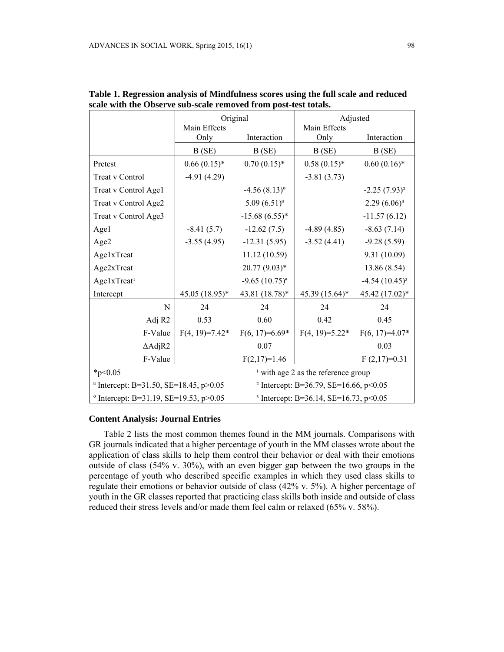|                                                   | Original         |                                                   | Adjusted         |                  |  |
|---------------------------------------------------|------------------|---------------------------------------------------|------------------|------------------|--|
|                                                   | Main Effects     | Interaction                                       | Main Effects     | Interaction      |  |
|                                                   | Only             |                                                   | Only             |                  |  |
|                                                   | B(SE)            | B(SE)                                             | B(SE)            | B(SE)            |  |
| Pretest                                           | $0.66(0.15)*$    | $0.70(0.15)*$                                     | $0.58(0.15)*$    | $0.60(0.16)$ *   |  |
| Treat v Control                                   | $-4.91(4.29)$    |                                                   | $-3.81(3.73)$    |                  |  |
| Treat v Control Age1                              |                  | $-4.56(8.13)^{\circ}$                             |                  | $-2.25(7.93)^2$  |  |
| Treat v Control Age2                              |                  | $5.09(6.51)^a$                                    |                  | $2.29(6.06)^3$   |  |
| Treat v Control Age3                              |                  | $-15.68(6.55)*$                                   |                  | $-11.57(6.12)$   |  |
| Age1                                              | $-8.41(5.7)$     | $-12.62(7.5)$                                     | $-4.89(4.85)$    | $-8.63(7.14)$    |  |
| Age2                                              | $-3.55(4.95)$    | $-12.31(5.95)$                                    | $-3.52(4.41)$    | $-9.28(5.59)$    |  |
| Age1xTreat                                        |                  | 11.12 (10.59)                                     |                  | 9.31 (10.09)     |  |
| Age2xTreat                                        |                  | 20.77 (9.03)*                                     |                  | 13.86 (8.54)     |  |
| Age1xTreat <sup>1</sup>                           |                  | $-9.65(10.75)^{a}$                                |                  | $-4.54(10.45)^3$ |  |
| Intercept                                         | $45.05(18.95)^*$ | 43.81 (18.78)*                                    | 45.39 (15.64)*   | 45.42 (17.02)*   |  |
| N                                                 | 24               | 24                                                | 24               | 24               |  |
| Adj R2                                            | 0.53             | 0.60                                              | 0.42             | 0.45             |  |
| F-Value                                           | $F(4, 19)=7.42*$ | $F(6, 17)=6.69*$                                  | $F(4, 19)=5.22*$ | $F(6, 17)=4.07*$ |  |
| $\triangle$ AdjR2                                 |                  | 0.07                                              |                  | 0.03             |  |
| F-Value                                           |                  | $F(2,17)=1.46$                                    |                  | $F(2,17)=0.31$   |  |
| $*_{p<0.05}$                                      |                  | $\frac{1}{2}$ with age 2 as the reference group   |                  |                  |  |
| <sup>a</sup> Intercept: B=31.50, SE=18.45, p>0.05 |                  | <sup>2</sup> Intercept: B=36.79, SE=16.66, p<0.05 |                  |                  |  |
| $^{\circ}$ Intercept: B=31.19, SE=19.53, p>0.05   |                  | <sup>3</sup> Intercept: B=36.14, SE=16.73, p<0.05 |                  |                  |  |

**Table 1. Regression analysis of Mindfulness scores using the full scale and reduced scale with the Observe sub-scale removed from post-test totals.**

### **Content Analysis: Journal Entries**

Table 2 lists the most common themes found in the MM journals. Comparisons with GR journals indicated that a higher percentage of youth in the MM classes wrote about the application of class skills to help them control their behavior or deal with their emotions outside of class (54% v. 30%), with an even bigger gap between the two groups in the percentage of youth who described specific examples in which they used class skills to regulate their emotions or behavior outside of class (42% v. 5%). A higher percentage of youth in the GR classes reported that practicing class skills both inside and outside of class reduced their stress levels and/or made them feel calm or relaxed (65% v. 58%).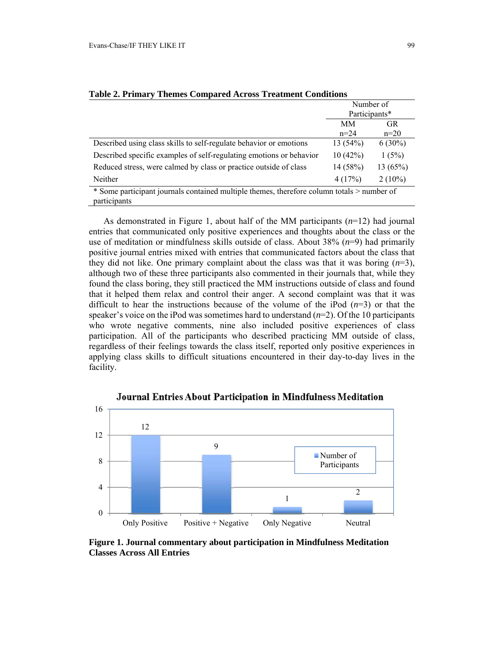|                                                                                                            | Number of<br>Participants* |           |  |  |  |
|------------------------------------------------------------------------------------------------------------|----------------------------|-----------|--|--|--|
|                                                                                                            |                            |           |  |  |  |
|                                                                                                            | MМ                         | <b>GR</b> |  |  |  |
|                                                                                                            | $n=24$                     | $n=20$    |  |  |  |
| Described using class skills to self-regulate behavior or emotions                                         | 13(54%)                    | $6(30\%)$ |  |  |  |
| Described specific examples of self-regulating emotions or behavior                                        | 10(42%)                    | 1(5%)     |  |  |  |
| Reduced stress, were calmed by class or practice outside of class                                          | 14(58%)                    | 13(65%)   |  |  |  |
| <b>Neither</b>                                                                                             | 4(17%)                     | $2(10\%)$ |  |  |  |
| * Some participant journals contained multiple themes, therefore column totals > number of<br>participants |                            |           |  |  |  |

**Table 2. Primary Themes Compared Across Treatment Conditions** 

As demonstrated in Figure 1, about half of the MM participants (*n*=12) had journal entries that communicated only positive experiences and thoughts about the class or the use of meditation or mindfulness skills outside of class. About  $38\%$   $(n=9)$  had primarily positive journal entries mixed with entries that communicated factors about the class that they did not like. One primary complaint about the class was that it was boring  $(n=3)$ , although two of these three participants also commented in their journals that, while they found the class boring, they still practiced the MM instructions outside of class and found that it helped them relax and control their anger. A second complaint was that it was difficult to hear the instructions because of the volume of the iPod  $(n=3)$  or that the speaker's voice on the iPod was sometimes hard to understand (*n*=2). Of the 10 participants who wrote negative comments, nine also included positive experiences of class participation. All of the participants who described practicing MM outside of class, regardless of their feelings towards the class itself, reported only positive experiences in applying class skills to difficult situations encountered in their day-to-day lives in the facility.



Journal Entries About Participation in Mindfulness Meditation

**Figure 1. Journal commentary about participation in Mindfulness Meditation Classes Across All Entries**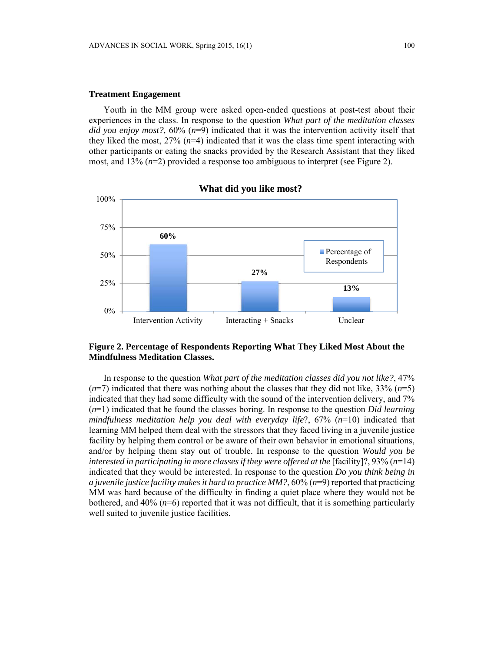### **Treatment Engagement**

Youth in the MM group were asked open-ended questions at post-test about their experiences in the class. In response to the question *What part of the meditation classes did you enjoy most?,* 60% (*n*=9) indicated that it was the intervention activity itself that they liked the most,  $27\%$   $(n=4)$  indicated that it was the class time spent interacting with other participants or eating the snacks provided by the Research Assistant that they liked most, and 13% (*n*=2) provided a response too ambiguous to interpret (see Figure 2).



### **What did you like most?**

## **Figure 2. Percentage of Respondents Reporting What They Liked Most About the Mindfulness Meditation Classes.**

In response to the question *What part of the meditation classes did you not like?*, 47%  $(n=7)$  indicated that there was nothing about the classes that they did not like, 33%  $(n=5)$ indicated that they had some difficulty with the sound of the intervention delivery, and 7% (*n*=1) indicated that he found the classes boring. In response to the question *Did learning mindfulness meditation help you deal with everyday life*?, 67% (*n*=10) indicated that learning MM helped them deal with the stressors that they faced living in a juvenile justice facility by helping them control or be aware of their own behavior in emotional situations, and/or by helping them stay out of trouble. In response to the question *Would you be interested in participating in more classes if they were offered at the* [facility]?, 93% (*n*=14) indicated that they would be interested. In response to the question *Do you think being in a juvenile justice facility makes it hard to practice MM?*, 60% (*n*=9) reported that practicing MM was hard because of the difficulty in finding a quiet place where they would not be bothered, and  $40\%$  ( $n=6$ ) reported that it was not difficult, that it is something particularly well suited to juvenile justice facilities.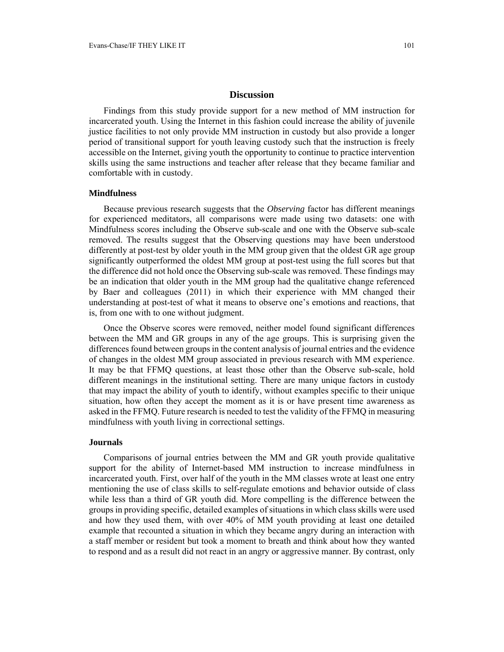### **Discussion**

Findings from this study provide support for a new method of MM instruction for incarcerated youth. Using the Internet in this fashion could increase the ability of juvenile justice facilities to not only provide MM instruction in custody but also provide a longer period of transitional support for youth leaving custody such that the instruction is freely accessible on the Internet, giving youth the opportunity to continue to practice intervention skills using the same instructions and teacher after release that they became familiar and comfortable with in custody.

#### **Mindfulness**

Because previous research suggests that the *Observing* factor has different meanings for experienced meditators, all comparisons were made using two datasets: one with Mindfulness scores including the Observe sub-scale and one with the Observe sub-scale removed. The results suggest that the Observing questions may have been understood differently at post-test by older youth in the MM group given that the oldest GR age group significantly outperformed the oldest MM group at post-test using the full scores but that the difference did not hold once the Observing sub-scale was removed. These findings may be an indication that older youth in the MM group had the qualitative change referenced by Baer and colleagues (2011) in which their experience with MM changed their understanding at post-test of what it means to observe one's emotions and reactions, that is, from one with to one without judgment.

Once the Observe scores were removed, neither model found significant differences between the MM and GR groups in any of the age groups. This is surprising given the differences found between groups in the content analysis of journal entries and the evidence of changes in the oldest MM group associated in previous research with MM experience. It may be that FFMQ questions, at least those other than the Observe sub-scale, hold different meanings in the institutional setting. There are many unique factors in custody that may impact the ability of youth to identify, without examples specific to their unique situation, how often they accept the moment as it is or have present time awareness as asked in the FFMQ. Future research is needed to test the validity of the FFMQ in measuring mindfulness with youth living in correctional settings.

#### **Journals**

Comparisons of journal entries between the MM and GR youth provide qualitative support for the ability of Internet-based MM instruction to increase mindfulness in incarcerated youth. First, over half of the youth in the MM classes wrote at least one entry mentioning the use of class skills to self-regulate emotions and behavior outside of class while less than a third of GR youth did. More compelling is the difference between the groups in providing specific, detailed examples of situations in which class skills were used and how they used them, with over 40% of MM youth providing at least one detailed example that recounted a situation in which they became angry during an interaction with a staff member or resident but took a moment to breath and think about how they wanted to respond and as a result did not react in an angry or aggressive manner. By contrast, only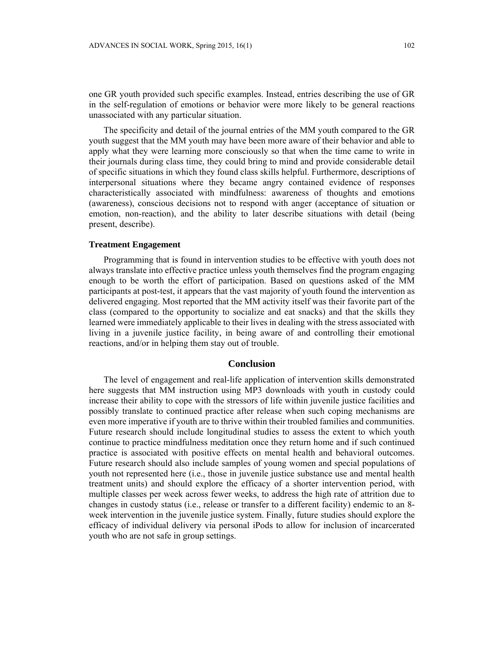one GR youth provided such specific examples. Instead, entries describing the use of GR in the self-regulation of emotions or behavior were more likely to be general reactions unassociated with any particular situation.

The specificity and detail of the journal entries of the MM youth compared to the GR youth suggest that the MM youth may have been more aware of their behavior and able to apply what they were learning more consciously so that when the time came to write in their journals during class time, they could bring to mind and provide considerable detail of specific situations in which they found class skills helpful. Furthermore, descriptions of interpersonal situations where they became angry contained evidence of responses characteristically associated with mindfulness: awareness of thoughts and emotions (awareness), conscious decisions not to respond with anger (acceptance of situation or emotion, non-reaction), and the ability to later describe situations with detail (being present, describe).

### **Treatment Engagement**

Programming that is found in intervention studies to be effective with youth does not always translate into effective practice unless youth themselves find the program engaging enough to be worth the effort of participation. Based on questions asked of the MM participants at post-test, it appears that the vast majority of youth found the intervention as delivered engaging. Most reported that the MM activity itself was their favorite part of the class (compared to the opportunity to socialize and eat snacks) and that the skills they learned were immediately applicable to their lives in dealing with the stress associated with living in a juvenile justice facility, in being aware of and controlling their emotional reactions, and/or in helping them stay out of trouble.

### **Conclusion**

The level of engagement and real-life application of intervention skills demonstrated here suggests that MM instruction using MP3 downloads with youth in custody could increase their ability to cope with the stressors of life within juvenile justice facilities and possibly translate to continued practice after release when such coping mechanisms are even more imperative if youth are to thrive within their troubled families and communities. Future research should include longitudinal studies to assess the extent to which youth continue to practice mindfulness meditation once they return home and if such continued practice is associated with positive effects on mental health and behavioral outcomes. Future research should also include samples of young women and special populations of youth not represented here (i.e., those in juvenile justice substance use and mental health treatment units) and should explore the efficacy of a shorter intervention period, with multiple classes per week across fewer weeks, to address the high rate of attrition due to changes in custody status (i.e., release or transfer to a different facility) endemic to an 8 week intervention in the juvenile justice system. Finally, future studies should explore the efficacy of individual delivery via personal iPods to allow for inclusion of incarcerated youth who are not safe in group settings.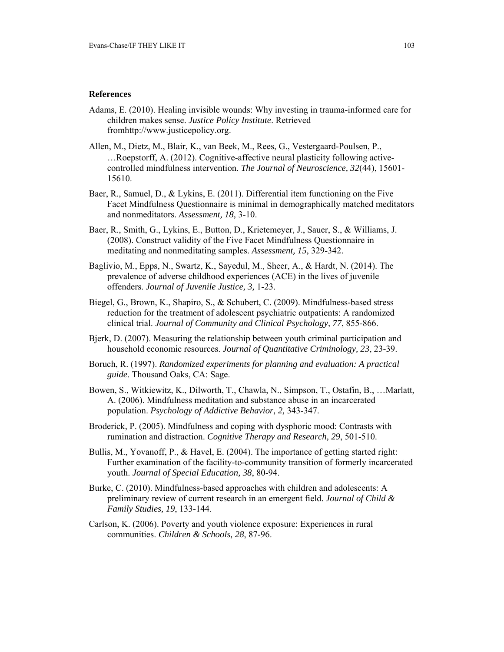#### **References**

- Adams, E. (2010). Healing invisible wounds: Why investing in trauma-informed care for children makes sense. *Justice Policy Institute*. Retrieved fromhttp://www.justicepolicy.org.
- Allen, M., Dietz, M., Blair, K., van Beek, M., Rees, G., Vestergaard-Poulsen, P., …Roepstorff, A. (2012). Cognitive-affective neural plasticity following activecontrolled mindfulness intervention. *The Journal of Neuroscience, 32*(44), 15601- 15610.
- Baer, R., Samuel, D., & Lykins, E. (2011). Differential item functioning on the Five Facet Mindfulness Questionnaire is minimal in demographically matched meditators and nonmeditators. *Assessment, 18,* 3-10.
- Baer, R., Smith, G., Lykins, E., Button, D., Krietemeyer, J., Sauer, S., & Williams, J. (2008). Construct validity of the Five Facet Mindfulness Questionnaire in meditating and nonmeditating samples. *Assessment, 15*, 329-342.
- Baglivio, M., Epps, N., Swartz, K., Sayedul, M., Sheer, A., & Hardt, N. (2014). The prevalence of adverse childhood experiences (ACE) in the lives of juvenile offenders. *Journal of Juvenile Justice, 3,* 1-23.
- Biegel, G., Brown, K., Shapiro, S., & Schubert, C. (2009). Mindfulness-based stress reduction for the treatment of adolescent psychiatric outpatients: A randomized clinical trial. *Journal of Community and Clinical Psychology, 77*, 855-866.
- Bjerk, D. (2007). Measuring the relationship between youth criminal participation and household economic resources. *Journal of Quantitative Criminology, 23*, 23-39.
- Boruch, R. (1997). *Randomized experiments for planning and evaluation: A practical guide*. Thousand Oaks, CA: Sage.
- Bowen, S., Witkiewitz, K., Dilworth, T., Chawla, N., Simpson, T., Ostafin, B., …Marlatt, A. (2006). Mindfulness meditation and substance abuse in an incarcerated population. *Psychology of Addictive Behavior, 2,* 343-347.
- Broderick, P. (2005). Mindfulness and coping with dysphoric mood: Contrasts with rumination and distraction. *Cognitive Therapy and Research, 29*, 501-510.
- Bullis, M., Yovanoff, P., & Havel, E. (2004). The importance of getting started right: Further examination of the facility-to-community transition of formerly incarcerated youth. *Journal of Special Education, 38*, 80-94.
- Burke, C. (2010). Mindfulness-based approaches with children and adolescents: A preliminary review of current research in an emergent field. *Journal of Child & Family Studies, 19*, 133-144.
- Carlson, K. (2006). Poverty and youth violence exposure: Experiences in rural communities. *Children & Schools, 28*, 87-96.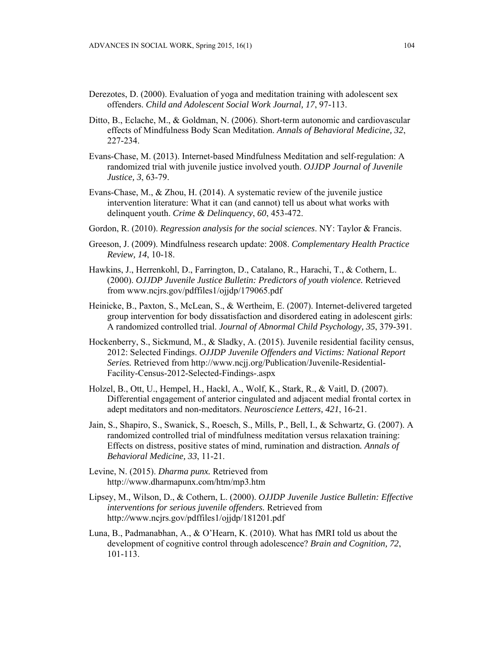- Derezotes, D. (2000). Evaluation of yoga and meditation training with adolescent sex offenders. *Child and Adolescent Social Work Journal, 17*, 97-113.
- Ditto, B., Eclache, M., & Goldman, N. (2006). Short-term autonomic and cardiovascular effects of Mindfulness Body Scan Meditation. *Annals of Behavioral Medicine, 32*, 227-234.
- Evans-Chase, M. (2013). Internet-based Mindfulness Meditation and self-regulation: A randomized trial with juvenile justice involved youth. *OJJDP Journal of Juvenile Justice, 3*, 63-79.
- Evans-Chase, M., & Zhou, H. (2014). A systematic review of the juvenile justice intervention literature: What it can (and cannot) tell us about what works with delinquent youth. *Crime & Delinquency*, *60*, 453-472.
- Gordon, R. (2010). *Regression analysis for the social sciences*. NY: Taylor & Francis.
- Greeson, J. (2009). Mindfulness research update: 2008. *Complementary Health Practice Review, 14*, 10-18.
- Hawkins, J., Herrenkohl, D., Farrington, D., Catalano, R., Harachi, T., & Cothern, L. (2000). *OJJDP Juvenile Justice Bulletin: Predictors of youth violence.* Retrieved from www.ncjrs.gov/pdffiles1/ojjdp/179065.pdf
- Heinicke, B., Paxton, S., McLean, S., & Wertheim, E. (2007). Internet-delivered targeted group intervention for body dissatisfaction and disordered eating in adolescent girls: A randomized controlled trial. *Journal of Abnormal Child Psychology, 35*, 379-391.
- Hockenberry, S., Sickmund, M., & Sladky, A. (2015). Juvenile residential facility census, 2012: Selected Findings. *OJJDP Juvenile Offenders and Victims: National Report Series.* Retrieved from http://www.ncjj.org/Publication/Juvenile-Residential-Facility-Census-2012-Selected-Findings-.aspx
- Holzel, B., Ott, U., Hempel, H., Hackl, A., Wolf, K., Stark, R., & Vaitl, D. (2007). Differential engagement of anterior cingulated and adjacent medial frontal cortex in adept meditators and non-meditators. *Neuroscience Letters, 421*, 16-21.
- Jain, S., Shapiro, S., Swanick, S., Roesch, S., Mills, P., Bell, I., & Schwartz, G. (2007). A randomized controlled trial of mindfulness meditation versus relaxation training: Effects on distress, positive states of mind, rumination and distraction*. Annals of Behavioral Medicine, 33*, 11-21.
- Levine, N. (2015). *Dharma punx.* Retrieved from http://www.dharmapunx.com/htm/mp3.htm
- Lipsey, M., Wilson, D., & Cothern, L. (2000). *OJJDP Juvenile Justice Bulletin: Effective interventions for serious juvenile offenders.* Retrieved from http*://*www.ncjrs.gov/pdffiles1/ojjdp/181201.pdf
- Luna, B., Padmanabhan, A., & O'Hearn, K. (2010). What has fMRI told us about the development of cognitive control through adolescence? *Brain and Cognition, 72*, 101-113.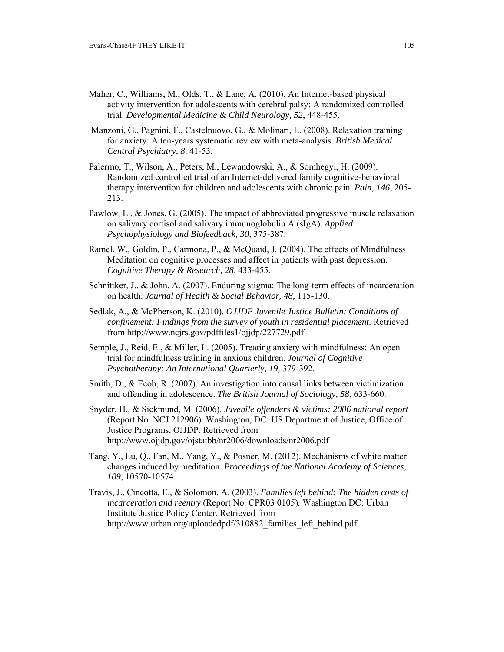- Maher, C., Williams, M., Olds, T., & Lane, A. (2010). An Internet-based physical activity intervention for adolescents with cerebral palsy: A randomized controlled trial. *Developmental Medicine & Child Neurology, 52*, 448-455.
- Manzoni, G., Pagnini, F., Castelnuovo, G., & Molinari, E. (2008). Relaxation training for anxiety: A ten-years systematic review with meta-analysis. *British Medical Central Psychiatry, 8,* 41-53.
- Palermo, T., Wilson, A., Peters, M., Lewandowski, A., & Somhegyi, H. (2009). Randomized controlled trial of an Internet-delivered family cognitive-behavioral therapy intervention for children and adolescents with chronic pain. *Pain, 146*, 205- 213.
- Pawlow, L., & Jones, G. (2005). The impact of abbreviated progressive muscle relaxation on salivary cortisol and salivary immunoglobulin A (sIgA). *Applied Psychophysiology and Biofeedback, 30,* 375-387.
- Ramel, W., Goldin, P., Carmona, P., & McQuaid, J. (2004). The effects of Mindfulness Meditation on cognitive processes and affect in patients with past depression. *Cognitive Therapy & Research, 28,* 433-455.
- Schnittker, J., & John, A. (2007). Enduring stigma: The long-term effects of incarceration on health. *Journal of Health & Social Behavior, 48,* 115-130.
- Sedlak, A., & McPherson, K. (2010). *OJJDP Juvenile Justice Bulletin: Conditions of confinement: Findings from the survey of youth in residential placement*. Retrieved from http://www.ncjrs.gov/pdffiles1/ojjdp/227729.pdf
- Semple, J., Reid, E., & Miller, L. (2005). Treating anxiety with mindfulness: An open trial for mindfulness training in anxious children. *Journal of Cognitive Psychotherapy: An International Quarterly, 19,* 379-392.
- Smith, D., & Ecob, R. (2007). An investigation into causal links between victimization and offending in adolescence. *The British Journal of Sociology, 58*, 633-660.
- Snyder, H., & Sickmund, M. (2006). *Juvenile offenders & victims: 2006 national report*  (Report No. NCJ 212906)*.* Washington, DC: US Department of Justice, Office of Justice Programs, OJJDP. Retrieved from http://www.ojjdp.gov/ojstatbb/nr2006/downloads/nr2006.pdf
- Tang, Y., Lu, Q., Fan, M., Yang, Y., & Posner, M. (2012). Mechanisms of white matter changes induced by meditation. *Proceedings of the National Academy of Sciences, 109*, 10570-10574.
- Travis, J., Cincotta, E., & Solomon, A. (2003). *Families left behind: The hidden costs of incarceration and reentry* (Report No. CPR03 0105)*.* Washington DC: Urban Institute Justice Policy Center. Retrieved from http://www.urban.org/uploadedpdf/310882 families left behind.pdf